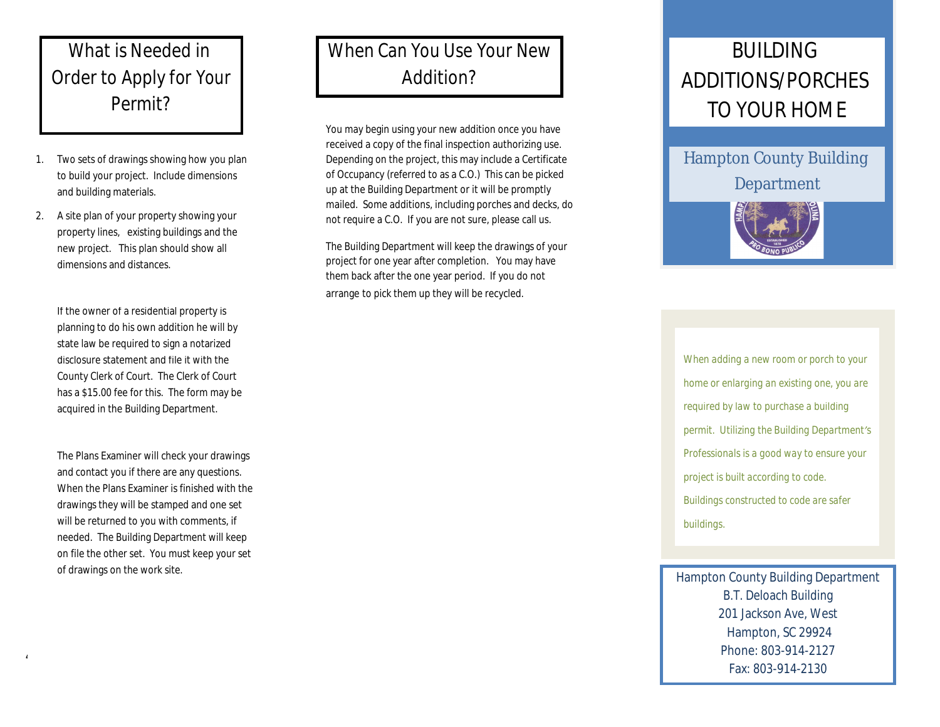#### What is Needed in Order to Apply for Your Permit?

- 1. Two sets of drawings showing how you plan to build your project. Include dimensions and building materials.
- 2. A site plan of your property showing your property lines, existing buildings and the new project. This plan should show all dimensions and distances.

If the owner of a residential property is planning to do his own addition he will by state law be required to sign a notarized disclosure statement and file it with the County Clerk of Court. The Clerk of Court has a \$15.00 fee for this. The form may be acquired in the Building Department.

The Plans Examiner will check your drawings and contact you if there are any questions. When the Plans Examiner is finished with the drawings they will be stamped and one set will be returned to you with comments, if needed. The Building Department will keep on file the other set. You must keep your set of drawings on the work site.

 $4/2$ 1/2010  $\pm$ 

## When Can You Use Your New Addition?

You may begin using your new addition once you have received a copy of the final inspection authorizing use. Depending on the project, this may include a Certificate of Occupancy (referred to as a C.O.) This can be picked up at the Building Department or it will be promptly mailed. Some additions, including porches and decks, do not require a C.O. If you are not sure, please call us.

The Building Department will keep the drawings of your project for one year after completion. You may have them back after the one year period. If you do not arrange to pick them up they will be recycled.

# **BUILDING** ADDITIONS/PORCHES TO YOUR HOME

Hampton County Building Department



*When adding a new room or porch to your home or enlarging an existing one, you are required by law to purchase a building permit. Utilizing the Building Department's Professionals is a good way to ensure your project is built according to code. Buildings constructed to code are safer buildings.* 

Hampton County Building Department B.T. Deloach Building 201 Jackson Ave, West Hampton, SC 29924 Phone: 803-914-2127 Fax: 803-914-2130